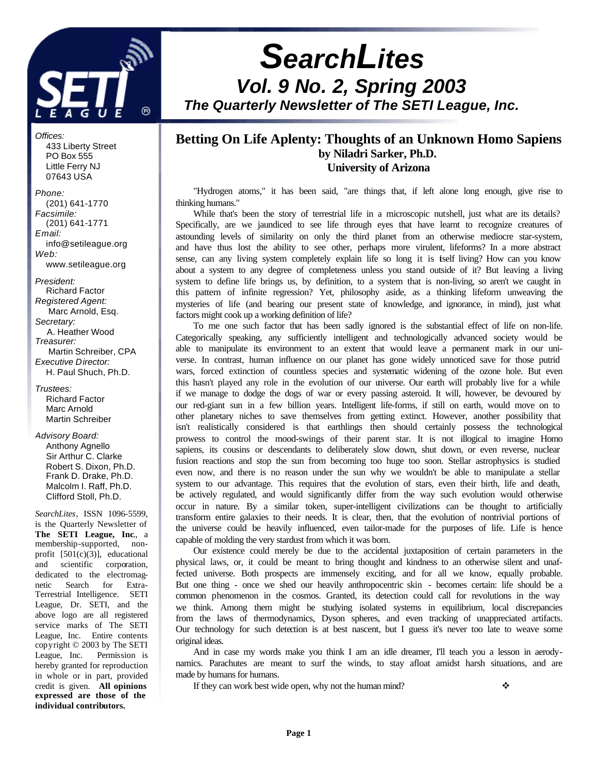

*Offices:* 433 Liberty Street PO Box 555 Little Ferry NJ 07643 USA

*Phone:* (201) 641-1770 *Facsimile:* (201) 641-1771 *Email:* info@setileague.org *Web:* www.setileague.org

*President:* Richard Factor *Registered Agent:*  Marc Arnold, Esq. *Secretary:* A. Heather Wood *Treasurer:*  Martin Schreiber, CPA *Executive Director:* H. Paul Shuch, Ph.D.

*Trustees:* Richard Factor Marc Arnold Martin Schreiber

#### *Advisory Board:* Anthony Agnello

 Sir Arthur C. Clarke Robert S. Dixon, Ph.D. Frank D. Drake, Ph.D. Malcolm I. Raff, Ph.D. Clifford Stoll, Ph.D.

*SearchLites*, ISSN 1096-5599, is the Quarterly Newsletter of **The SETI League, Inc**., a membership-supported, nonprofit [501(c)(3)], educational and scientific corporation, dedicated to the electromagnetic Search for Extra-Terrestrial Intelligence. SETI League, Dr. SETI, and the above logo are all registered service marks of The SETI League, Inc. Entire contents copyright © 2003 by The SETI League, Inc. Permission is hereby granted for reproduction in whole or in part, provided credit is given. **All opinions expressed are those of the individual contributors.**

# *SearchLites Vol. 9 No. 2, Spring 2003 The Quarterly Newsletter of The SETI League, Inc.*

# **Betting On Life Aplenty: Thoughts of an Unknown Homo Sapiens by Niladri Sarker, Ph.D. University of Arizona**

"Hydrogen atoms," it has been said, "are things that, if left alone long enough, give rise to thinking humans."

While that's been the story of terrestrial life in a microscopic nutshell, just what are its details? Specifically, are we jaundiced to see life through eyes that have learnt to recognize creatures of astounding levels of similarity on only the third planet from an otherwise mediocre star-system, and have thus lost the ability to see other, perhaps more virulent, lifeforms? In a more abstract sense, can any living system completely explain life so long it is itself living? How can you know about a system to any degree of completeness unless you stand outside of it? But leaving a living system to define life brings us, by definition, to a system that is non-living, so aren't we caught in this pattern of infinite regression? Yet, philosophy aside, as a thinking lifeform unweaving the mysteries of life (and bearing our present state of knowledge, and ignorance, in mind), just what factors might cook up a working definition of life?

To me one such factor that has been sadly ignored is the substantial effect of life on non-life. Categorically speaking, any sufficiently intelligent and technologically advanced society would be able to manipulate its environment to an extent that would leave a permanent mark in our universe. In contrast, human influence on our planet has gone widely unnoticed save for those putrid wars, forced extinction of countless species and systematic widening of the ozone hole. But even this hasn't played any role in the evolution of our universe. Our earth will probably live for a while if we manage to dodge the dogs of war or every passing asteroid. It will, however, be devoured by our red-giant sun in a few billion years. Intelligent life-forms, if still on earth, would move on to other planetary niches to save themselves from getting extinct. However, another possibility that isn't realistically considered is that earthlings then should certainly possess the technological prowess to control the mood-swings of their parent star. It is not illogical to imagine Homo sapiens, its cousins or descendants to deliberately slow down, shut down, or even reverse, nuclear fusion reactions and stop the sun from becoming too huge too soon. Stellar astrophysics is studied even now, and there is no reason under the sun why we wouldn't be able to manipulate a stellar system to our advantage. This requires that the evolution of stars, even their birth, life and death, be actively regulated, and would significantly differ from the way such evolution would otherwise occur in nature. By a similar token, super-intelligent civilizations can be thought to artificially transform entire galaxies to their needs. It is clear, then, that the evolution of nontrivial portions of the universe could be heavily influenced, even tailor-made for the purposes of life. Life is hence capable of molding the very stardust from which it was born.

Our existence could merely be due to the accidental juxtaposition of certain parameters in the physical laws, or, it could be meant to bring thought and kindness to an otherwise silent and unaffected universe. Both prospects are immensely exciting, and for all we know, equally probable. But one thing - once we shed our heavily anthropocentric skin - becomes certain: life should be a common phenomenon in the cosmos. Granted, its detection could call for revolutions in the way we think. Among them might be studying isolated systems in equilibrium, local discrepancies from the laws of thermodynamics, Dyson spheres, and even tracking of unappreciated artifacts. Our technology for such detection is at best nascent, but I guess it's never too late to weave some original ideas.

And in case my words make you think I am an idle dreamer, I'll teach you a lesson in aerodynamics. Parachutes are meant to surf the winds, to stay afloat amidst harsh situations, and are made by humans for humans.

If they can work best wide open, why not the human mind?  $\bullet$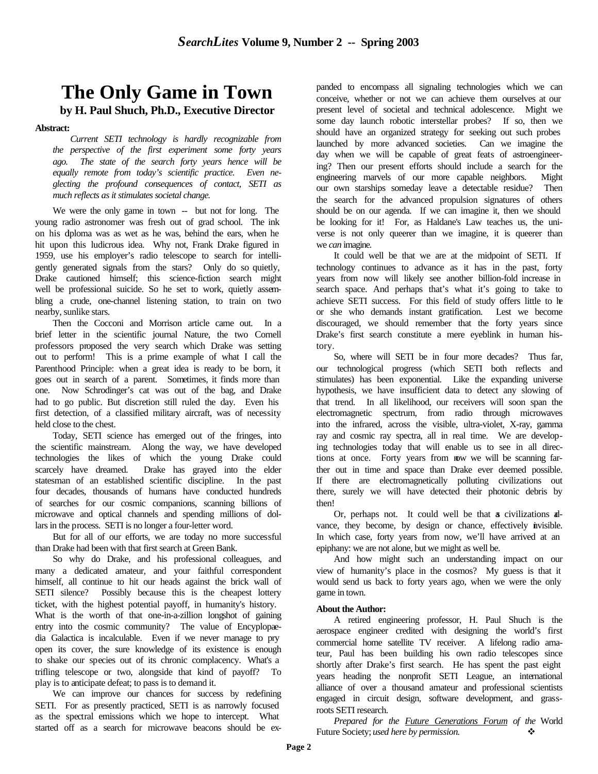# **The Only Game in Town**

## **by H. Paul Shuch, Ph.D., Executive Director**

#### **Abstract:**

*Current SETI technology is hardly recognizable from the perspective of the first experiment some forty years ago. The state of the search forty years hence will be equally remote from today's scientific practice. Even neglecting the profound consequences of contact, SETI as much reflects as it stimulates societal change.*

We were the only game in town -- but not for long. The young radio astronomer was fresh out of grad school. The ink on his diploma was as wet as he was, behind the ears, when he hit upon this ludicrous idea. Why not, Frank Drake figured in 1959, use his employer's radio telescope to search for intelligently generated signals from the stars? Only do so quietly, Drake cautioned himself; this science-fiction search might well be professional suicide. So he set to work, quietly assembling a crude, one-channel listening station, to train on two nearby, sunlike stars.

Then the Cocconi and Morrison article came out. In a brief letter in the scientific journal Nature, the two Cornell professors proposed the very search which Drake was setting out to perform! This is a prime example of what I call the Parenthood Principle: when a great idea is ready to be born, it goes out in search of a parent. Sometimes, it finds more than one. Now Schrodinger's cat was out of the bag, and Drake had to go public. But discretion still ruled the day. Even his first detection, of a classified military aircraft, was of necessity held close to the chest.

Today, SETI science has emerged out of the fringes, into the scientific mainstream. Along the way, we have developed technologies the likes of which the young Drake could scarcely have dreamed. Drake has grayed into the elder statesman of an established scientific discipline. In the past four decades, thousands of humans have conducted hundreds of searches for our cosmic companions, scanning billions of microwave and optical channels and spending millions of dollars in the process. SETI is no longer a four-letter word.

But for all of our efforts, we are today no more successful than Drake had been with that first search at Green Bank.

So why do Drake, and his professional colleagues, and many a dedicated amateur, and your faithful correspondent himself, all continue to hit our heads against the brick wall of SETI silence? Possibly because this is the cheapest lottery ticket, with the highest potential payoff, in humanity's history. What is the worth of that one-in-a-zillion longshot of gaining entry into the cosmic community? The value of Encyplopaedia Galactica is incalculable. Even if we never manage to pry open its cover, the sure knowledge of its existence is enough to shake our species out of its chronic complacency. What's a trifling telescope or two, alongside that kind of payoff? To play is to anticipate defeat; to pass is to demand it.

We can improve our chances for success by redefining SETI. For as presently practiced, SETI is as narrowly focused as the spectral emissions which we hope to intercept. What started off as a search for microwave beacons should be expanded to encompass all signaling technologies which we can conceive, whether or not we can achieve them ourselves at our present level of societal and technical adolescence. Might we some day launch robotic interstellar probes? If so, then we should have an organized strategy for seeking out such probes launched by more advanced societies. Can we imagine the day when we will be capable of great feats of astroengineering? Then our present efforts should include a search for the engineering marvels of our more capable neighbors. Might our own starships someday leave a detectable residue? Then the search for the advanced propulsion signatures of others should be on our agenda. If we can imagine it, then we should be looking for it! For, as Haldane's Law teaches us, the universe is not only queerer than we imagine, it is queerer than we *can* imagine.

It could well be that we are at the midpoint of SETI. If technology continues to advance as it has in the past, forty years from now will likely see another billion-fold increase in search space. And perhaps that's what it's going to take to achieve SETI success. For this field of study offers little to he or she who demands instant gratification. Lest we become discouraged, we should remember that the forty years since Drake's first search constitute a mere eyeblink in human history.

So, where will SETI be in four more decades? Thus far, our technological progress (which SETI both reflects and stimulates) has been exponential. Like the expanding universe hypothesis, we have insufficient data to detect any slowing of that trend. In all likelihood, our receivers will soon span the electromagnetic spectrum, from radio through microwaves into the infrared, across the visible, ultra-violet, X-ray, gamma ray and cosmic ray spectra, all in real time. We are developing technologies today that will enable us to see in all directions at once. Forty years from now we will be scanning farther out in time and space than Drake ever deemed possible. If there are electromagnetically polluting civilizations out there, surely we will have detected their photonic debris by then!

Or, perhaps not. It could well be that a civilizations alvance, they become, by design or chance, effectively invisible. In which case, forty years from now, we'll have arrived at an epiphany: we are not alone, but we might as well be.

And how might such an understanding impact on our view of humanity's place in the cosmos? My guess is that it would send us back to forty years ago, when we were the only game in town.

#### **About the Author:**

A retired engineering professor, H. Paul Shuch is the aerospace engineer credited with designing the world's first commercial home satellite TV receiver. A lifelong radio amateur, Paul has been building his own radio telescopes since shortly after Drake's first search. He has spent the past eight years heading the nonprofit SETI League, an international alliance of over a thousand amateur and professional scientists engaged in circuit design, software development, and grassroots SETI research.

*Prepared for the Future Generations Forum of the* World Future Society; *used here by permission.* v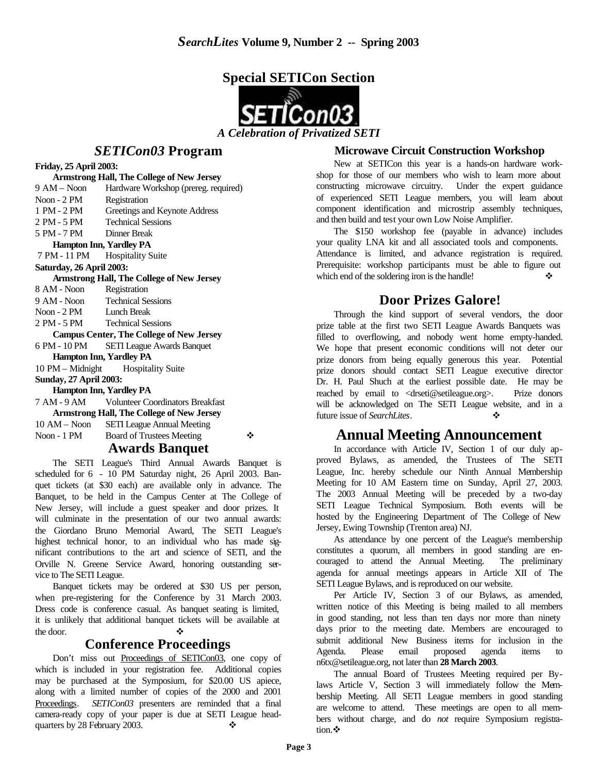

## *SETICon03* **Program**

#### **Friday, 25 April 2003:**

|                                | <b>Armstrong Hall, The College of New Jersey</b> |
|--------------------------------|--------------------------------------------------|
| $9 AM - Noon$                  | Hardware Workshop (prereg. required)             |
| Noon $-2$ PM                   | Registration                                     |
| 1 PM - 2 PM                    | Greetings and Keynote Address                    |
| 2 PM - 5 PM Technical Sessions |                                                  |
| 5 PM - 7 PM Dinner Break       |                                                  |
| <b>Hampton Inn, Yardley PA</b> |                                                  |
| 7 PM - 11 PM Hospitality Suite |                                                  |
| Saturday, 26 April 2003:       |                                                  |
|                                | <b>Armstrong Hall, The College of New Jersey</b> |
| 8 AM - Noon Registration       |                                                  |
| 9 AM - Noon Technical Sessions |                                                  |
| Noon - 2 PM Lunch Break        |                                                  |
| 2 PM - 5 PM Technical Sessions |                                                  |
|                                | <b>Campus Center, The College of New Jersey</b>  |
| 6 PM - 10 PM                   | <b>SETI League Awards Banquet</b>                |
| <b>Hampton Inn, Yardley PA</b> |                                                  |
|                                | 10 PM – Midnight Hospitality Suite               |
| <b>Sunday, 27 April 2003:</b>  |                                                  |
| <b>Hampton Inn, Yardley PA</b> |                                                  |
|                                | 7 AM - 9 AM Volunteer Coordinators Breakfast     |
|                                | Armstrong Hall, The College of New Jersey        |

10 AM – Noon SETI League Annual Meeting

Noon - 1 PM Board of Trustees Meeting  $\bullet$ 

#### **Awards Banquet**

The SETI League's Third Annual Awards Banquet is scheduled for 6 - 10 PM Saturday night, 26 April 2003. Banquet tickets (at \$30 each) are available only in advance. The Banquet, to be held in the Campus Center at The College of New Jersey, will include a guest speaker and door prizes. It will culminate in the presentation of our two annual awards: the Giordano Bruno Memorial Award, The SETI League's highest technical honor, to an individual who has made significant contributions to the art and science of SETI, and the Orville N. Greene Service Award, honoring outstanding service to The SETI League.

Banquet tickets may be ordered at \$30 US per person, when pre-registering for the Conference by 31 March 2003. Dress code is conference casual. As banquet seating is limited, it is unlikely that additional banquet tickets will be available at the door. ❖

## **Conference Proceedings**

Don't miss out Proceedings of SETICon03, one copy of which is included in your registration fee. Additional copies may be purchased at the Symposium, for \$20.00 US apiece, along with a limited number of copies of the 2000 and 2001 Proceedings. *SETICon03* presenters are reminded that a final camera-ready copy of your paper is due at SETI League headquarters by 28 February 2003.

#### **Microwave Circuit Construction Workshop**

New at SETICon this year is a hands-on hardware workshop for those of our members who wish to learn more about constructing microwave circuitry. Under the expert guidance of experienced SETI League members, you will learn about component identification and microstrip assembly techniques, and then build and test your own Low Noise Amplifier.

The \$150 workshop fee (payable in advance) includes your quality LNA kit and all associated tools and components. Attendance is limited, and advance registration is required. Prerequisite: workshop participants must be able to figure out which end of the soldering iron is the handle!

## **Door Prizes Galore!**

Through the kind support of several vendors, the door prize table at the first two SETI League Awards Banquets was filled to overflowing, and nobody went home empty-handed. We hope that present economic conditions will not deter our prize donors from being equally generous this year. Potential prize donors should contact SETI League executive director Dr. H. Paul Shuch at the earliest possible date. He may be reached by email to <drseti@setileague.org>. Prize donors will be acknowledged on The SETI League website, and in a future issue of *SearchLites*. ❖

## **Annual Meeting Announcement**

In accordance with Article IV, Section 1 of our duly approved Bylaws, as amended, the Trustees of The SETI League, Inc. hereby schedule our Ninth Annual Membership Meeting for 10 AM Eastern time on Sunday, April 27, 2003. The 2003 Annual Meeting will be preceded by a two-day SETI League Technical Symposium. Both events will be hosted by the Engineering Department of The College of New Jersey, Ewing Township (Trenton area) NJ.

As attendance by one percent of the League's membership constitutes a quorum, all members in good standing are encouraged to attend the Annual Meeting. The preliminary agenda for annual meetings appears in Article XII of The SETI League Bylaws, and is reproduced on our website.

Per Article IV, Section 3 of our Bylaws, as amended, written notice of this Meeting is being mailed to all members in good standing, not less than ten days nor more than ninety days prior to the meeting date. Members are encouraged to submit additional New Business items for inclusion in the Agenda. Please email proposed agenda items to n6tx@setileague.org, not later than **28 March 2003**.

The annual Board of Trustees Meeting required per Bylaws Article V, Section 3 will immediately follow the Membership Meeting. All SETI League members in good standing are welcome to attend. These meetings are open to all members without charge, and do *not* require Symposium registration. $\mathbf{\dot{v}}$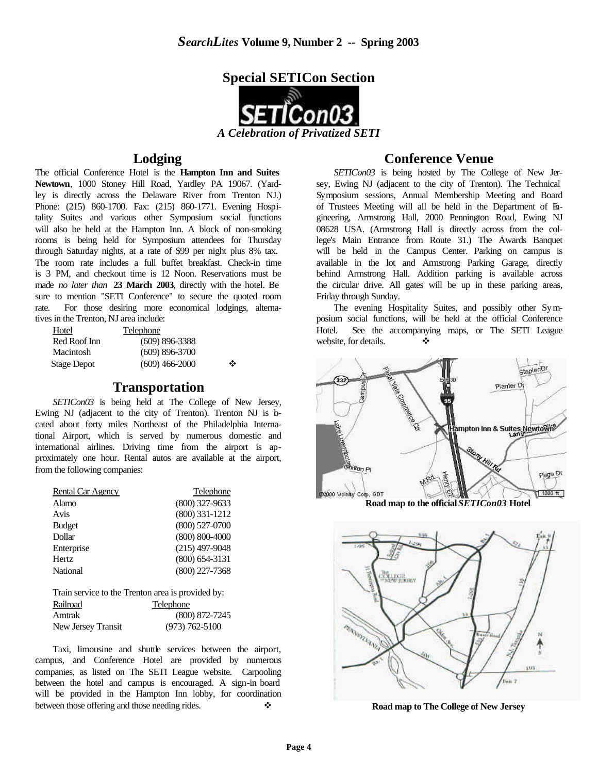

## **Lodging**

The official Conference Hotel is the **Hampton Inn and Suites Newtown**, 1000 Stoney Hill Road, Yardley PA 19067. (Yardley is directly across the Delaware River from Trenton NJ.) Phone: (215) 860-1700. Fax: (215) 860-1771. Evening Hospitality Suites and various other Symposium social functions will also be held at the Hampton Inn. A block of non-smoking rooms is being held for Symposium attendees for Thursday through Saturday nights, at a rate of \$99 per night plus 8% tax. The room rate includes a full buffet breakfast. Check-in time is 3 PM, and checkout time is 12 Noon. Reservations must be made *no later than* **23 March 2003**, directly with the hotel. Be sure to mention "SETI Conference" to secure the quoted room rate. For those desiring more economical lodgings, alternatives in the Trenton, NJ area include:

| Hotel              | Telephone          |   |
|--------------------|--------------------|---|
| Red Roof Inn       | $(609)$ 896-3388   |   |
| Macintosh          | $(609) 896 - 3700$ |   |
| <b>Stage Depot</b> | $(609)$ 466-2000   | ❖ |

#### **Transportation**

*SETICon03* is being held at The College of New Jersey, Ewing NJ (adjacent to the city of Trenton). Trenton NJ is bcated about forty miles Northeast of the Philadelphia International Airport, which is served by numerous domestic and international airlines. Driving time from the airport is approximately one hour. Rental autos are available at the airport, from the following companies:

| <b>Rental Car Agency</b> | Telephone          |
|--------------------------|--------------------|
| Alamo                    | $(800)$ 327-9633   |
| Avis                     | $(800)$ 331-1212   |
| <b>Budget</b>            | $(800)$ 527-0700   |
| Dollar                   | $(800) 800 - 4000$ |
| Enterprise               | $(215)$ 497-9048   |
| <b>Hertz</b>             | $(800) 654 - 3131$ |
| National                 | $(800)$ 227-7368   |
|                          |                    |

Train service to the Trenton area is provided by: Railroad Telephone Amtrak (800) 872-7245 New Jersey Transit (973) 762-5100

Taxi, limousine and shuttle services between the airport, campus, and Conference Hotel are provided by numerous companies, as listed on The SETI League website. Carpooling between the hotel and campus is encouraged. A sign-in board will be provided in the Hampton Inn lobby, for coordination between those offering and those needing rides.  $\mathbf{\hat{P}}$ 

## **Conference Venue**

*SETICon03* is being hosted by The College of New Jersey, Ewing NJ (adjacent to the city of Trenton). The Technical Symposium sessions, Annual Membership Meeting and Board of Trustees Meeting will all be held in the Department of Engineering, Armstrong Hall, 2000 Pennington Road, Ewing NJ 08628 USA. (Armstrong Hall is directly across from the college's Main Entrance from Route 31.) The Awards Banquet will be held in the Campus Center. Parking on campus is available in the lot and Armstrong Parking Garage, directly behind Armstrong Hall. Addition parking is available across the circular drive. All gates will be up in these parking areas, Friday through Sunday.

The evening Hospitality Suites, and possibly other Symposium social functions, will be held at the official Conference Hotel. See the accompanying maps, or The SETI League website, for details.



**Road map to the official** *SETICon03* **Hotel** 



**Road map to The College of New Jersey**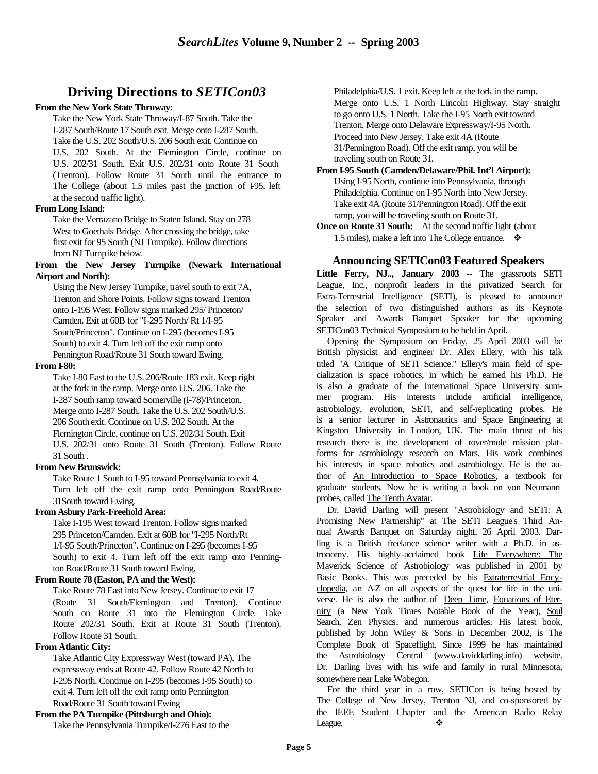# **Driving Directions to** *SETICon03*

#### **From the New York State Thruway:**

Take the New York State Thruway/I-87 South. Take the I-287 South/Route 17 South exit. Merge onto I-287 South. Take the U.S. 202 South/U.S. 206 South exit. Continue on U.S. 202 South. At the Flemington Circle, continue on U.S. 202/31 South. Exit U.S. 202/31 onto Route 31 South (Trenton). Follow Route 31 South until the entrance to The College (about 1.5 miles past the junction of 195, left at the second traffic light).

#### **From Long Island:**

Take the Verrazano Bridge to Staten Island. Stay on 278 West to Goethals Bridge. After crossing the bridge, take first exit for 95 South (NJ Turnpike). Follow directions from NJ Turnpike below.

#### **From the New Jersey Turnpike (Newark International Airport and North):**

Using the New Jersey Turnpike, travel south to exit 7A, Trenton and Shore Points. Follow signs toward Trenton onto I-195 West. Follow signs marked 295/ Princeton/ Camden. Exit at 60B for "I-295 North/ Rt 1/I-95 South/Princeton". Continue on I-295 (becomes I-95 South) to exit 4. Turn left off the exit ramp onto Pennington Road/Route 31 South toward Ewing.

#### **From I-80:**

Take I-80 East to the U.S. 206/Route 183 exit. Keep right at the fork in the ramp. Merge onto U.S. 206. Take the I-287 South ramp toward Somerville (I-78)/Princeton. Merge onto I-287 South. Take the U.S. 202 South/U.S. 206 South exit. Continue on U.S. 202 South. At the Flemington Circle, continue on U.S. 202/31 South. Exit U.S. 202/31 onto Route 31 South (Trenton). Follow Route 31 South .

#### **From New Brunswick:**

Take Route 1 South to I-95 toward Pennsylvania to exit 4. Turn left off the exit ramp onto Pennington Road/Route 31South toward Ewing.

#### **From Asbury Park-Freehold Area:**

Take I-195 West toward Trenton. Follow signs marked 295 Princeton/Camden. Exit at 60B for "I-295 North/Rt 1/I-95 South/Princeton". Continue on I-295 (becomes I-95 South) to exit 4. Turn left off the exit ramp onto Pennington Road/Route 31 South toward Ewing.

#### **From Route 78 (Easton, PA and the West):**

Take Route 78 East into New Jersey. Continue to exit 17 (Route 31 South/Flemington and Trenton). Continue South on Route 31 into the Flemington Circle. Take Route 202/31 South. Exit at Route 31 South (Trenton). Follow Route 31 South.

#### **From Atlantic City:**

Take Atlantic City Expressway West (toward PA). The expressway ends at Route 42. Follow Route 42 North to I-295 North. Continue on I-295 (becomes I-95 South) to exit 4. Turn left off the exit ramp onto Pennington Road/Route 31 South toward Ewing

## **From the PA Turnpike (Pittsburgh and Ohio):**

Take the Pennsylvania Turnpike/I-276 East to the

Philadelphia/U.S. 1 exit. Keep left at the fork in the ramp. Merge onto U.S. 1 North Lincoln Highway. Stay straight to go onto U.S. 1 North. Take the I-95 North exit toward Trenton. Merge onto Delaware Expressway/I-95 North. Proceed into New Jersey. Take exit 4A (Route 31/Pennington Road). Off the exit ramp, you will be traveling south on Route 31.

**From I-95 South (Camden/Delaware/Phil. Int'l Airport):** Using I-95 North, continue into Pennsylvania, through Philadelphia. Continue on I-95 North into New Jersey. Take exit 4A (Route 31/Pennington Road). Off the exit ramp, you will be traveling south on Route 31.

**Once on Route 31 South:** At the second traffic light (about 1.5 miles), make a left into The College entrance.  $\cdot$ 

## **Announcing SETICon03 Featured Speakers**

**Little Ferry, NJ.., January 2003** -- The grassroots SETI League, Inc., nonprofit leaders in the privatized Search for Extra-Terrestrial Intelligence (SETI), is pleased to announce the selection of two distinguished authors as its Keynote Speaker and Awards Banquet Speaker for the upcoming SETICon03 Technical Symposium to be held in April.

 Opening the Symposium on Friday, 25 April 2003 will be British physicist and engineer Dr. Alex Ellery, with his talk titled "A Critique of SETI Science." Ellery's main field of specialization is space robotics, in which he earned his Ph.D. He is also a graduate of the International Space University summer program. His interests include artificial intelligence, astrobiology, evolution, SETI, and self-replicating probes. He is a senior lecturer in Astronautics and Space Engineering at Kingston University in London, UK. The main thrust of his research there is the development of rover/mole mission platforms for astrobiology research on Mars. His work combines his interests in space robotics and astrobiology. He is the author of An Introduction to Space Robotics, a textbook for graduate students. Now he is writing a book on von Neumann probes, called The Tenth Avatar.

 Dr. David Darling will present "Astrobiology and SETI: A Promising New Partnership" at The SETI League's Third Annual Awards Banquet on Saturday night, 26 April 2003. Darling is a British freelance science writer with a Ph.D. in astronomy. His highly-acclaimed book Life Everywhere: The Maverick Science of Astrobiology was published in 2001 by Basic Books. This was preceded by his Extraterrestrial Encyclopedia, an AZ on all aspects of the quest for life in the universe. He is also the author of Deep Time, Equations of Eternity (a New York Times Notable Book of the Year), Soul Search, Zen Physics, and numerous articles. His latest book, published by John Wiley & Sons in December 2002, is The Complete Book of Spaceflight. Since 1999 he has maintained the Astrobiology Central (www.daviddarling.info) website. Dr. Darling lives with his wife and family in rural Minnesota, somewhere near Lake Wobegon.

 For the third year in a row, SETICon is being hosted by The College of New Jersey, Trenton NJ, and co-sponsored by the IEEE Student Chapter and the American Radio Relay League. ◆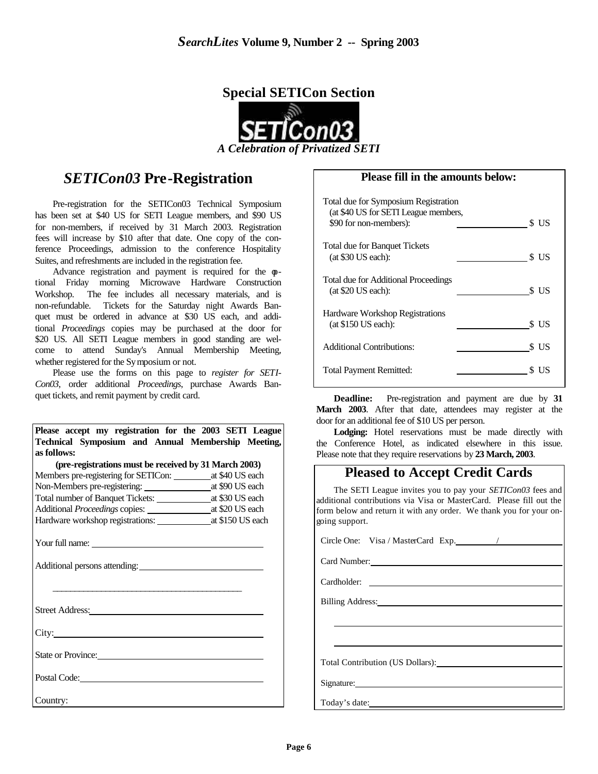

# *SETICon03* **Pre-Registration**

Pre-registration for the SETICon03 Technical Symposium has been set at \$40 US for SETI League members, and \$90 US for non-members, if received by 31 March 2003. Registration fees will increase by \$10 after that date. One copy of the conference Proceedings, admission to the conference Hospitality Suites, and refreshments are included in the registration fee.

Advance registration and payment is required for the  $\varphi$ tional Friday morning Microwave Hardware Construction Workshop. The fee includes all necessary materials, and is non-refundable. Tickets for the Saturday night Awards Banquet must be ordered in advance at \$30 US each, and additional *Proceedings* copies may be purchased at the door for \$20 US. All SETI League members in good standing are welcome to attend Sunday's Annual Membership Meeting, whether registered for the Symposium or not.

Please use the forms on this page to *register for SETI-Con03*, order additional *Proceedings*, purchase Awards Banquet tickets, and remit payment by credit card.

| Please accept my registration for the 2003 SETI League             |  |
|--------------------------------------------------------------------|--|
| Technical Symposium and Annual Membership Meeting,                 |  |
| as follows:                                                        |  |
| (pre-registrations must be received by 31 March 2003)              |  |
| Members pre-registering for SETICon: __________ at \$40 US each    |  |
|                                                                    |  |
|                                                                    |  |
| Additional Proceedings copies: ___________________ at \$20 US each |  |
|                                                                    |  |
| Additional persons attending:                                      |  |
|                                                                    |  |
|                                                                    |  |
|                                                                    |  |
| State or Province:                                                 |  |
|                                                                    |  |
| Country:                                                           |  |

#### **Please fill in the amounts below:**

| Total due for Symposium Registration<br>(at \$40 US for SETI League members, |      |  |
|------------------------------------------------------------------------------|------|--|
| \$90 for non-members):                                                       | S US |  |
| <b>Total due for Banquet Tickets</b><br>$(at $30$ US each):                  | S US |  |
| Total due for Additional Proceedings<br>(at \$20 US each):                   | S US |  |
| Hardware Workshop Registrations<br>$(at $150$ US each):                      | S US |  |
| <b>Additional Contributions:</b>                                             | S US |  |
| <b>Total Payment Remitted:</b>                                               | S US |  |

**Deadline:** Pre-registration and payment are due by **31 March 2003**. After that date, attendees may register at the door for an additional fee of \$10 US per person.

Lodging: Hotel reservations must be made directly with the Conference Hotel, as indicated elsewhere in this issue. Please note that they require reservations by **23 March, 2003**.

## **Pleased to Accept Credit Cards**

 The SETI League invites you to pay your *SETICon03* fees and additional contributions via Visa or MasterCard. Please fill out the form below and return it with any order. We thank you for your ongoing support.

Circle One: Visa / MasterCard Exp. / Card Number: Cardholder: Billing Address: 2002 Total Contribution (US Dollars): Signature: Today's date: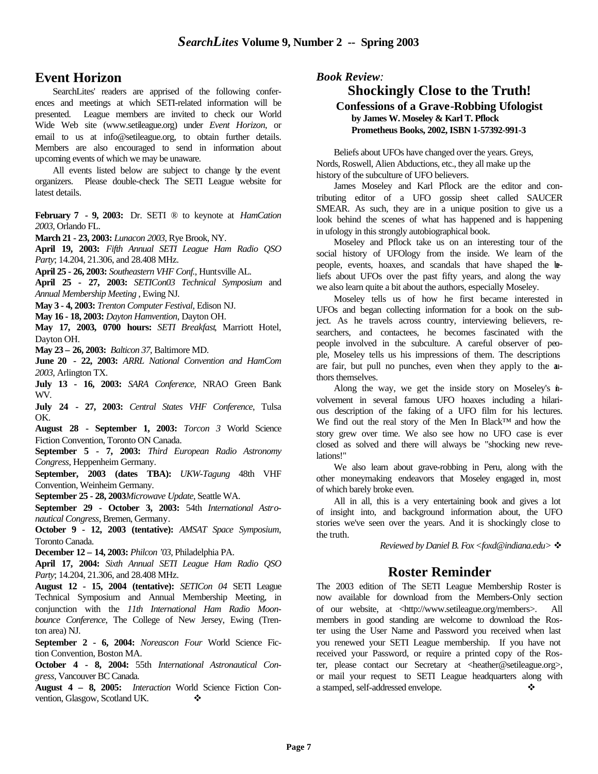## **Event Horizon**

SearchLites' readers are apprised of the following conferences and meetings at which SETI-related information will be presented. League members are invited to check our World Wide Web site (www.setileague.org) under *Event Horizon*, or email to us at info@setileague.org, to obtain further details. Members are also encouraged to send in information about upcoming events of which we may be unaware.

All events listed below are subject to change by the event organizers. Please double-check The SETI League website for latest details.

**February 7 - 9, 2003:** Dr. SETI ® to keynote at *HamCation 2003*, Orlando FL.

**March 21 - 23, 2003:** *Lunacon 2003*, Rye Brook, NY.

**April 19, 2003:** *Fifth Annual SETI League Ham Radio QSO Party*; 14.204, 21.306, and 28.408 MHz.

**April 25 - 26, 2003:** *Southeastern VHF Conf.*, Huntsville AL.

**April 25 - 27, 2003:** *SETICon03 Technical Symposium* and *Annual Membership Meeting* , Ewing NJ.

**May 3 - 4, 2003:** *Trenton Computer Festival*, Edison NJ.

**May 16 - 18, 2003:** *Dayton Hamvention*, Dayton OH.

**May 17, 2003, 0700 hours:** *SETI Breakfast*, Marriott Hotel, Dayton OH.

**May 23 – 26, 2003:** *Balticon 37*, Baltimore MD.

**June 20 - 22, 2003:** *ARRL National Convention and HamCom 2003*, Arlington TX.

**July 13 - 16, 2003:** *SARA Conference*, NRAO Green Bank WV.

**July 24 - 27, 2003:** *Central States VHF Conference*, Tulsa OK.

**August 28 - September 1, 2003:** *Torcon 3* World Science Fiction Convention, Toronto ON Canada.

**September 5 - 7, 2003:** *Third European Radio Astronomy Congress*, Heppenheim Germany.

**September, 2003 (dates TBA):** *UKW-Tagung* 48th VHF Convention, Weinheim Germany.

**September 25 - 28, 2003***Microwave Update*, Seattle WA.

**September 29 - October 3, 2003:** 54th *International Astronautical Congress*, Bremen, Germany.

**October 9 - 12, 2003 (tentative):** *AMSAT Space Symposium*, Toronto Canada.

**December 12 – 14, 2003:** *Philcon '03,* Philadelphia PA.

**April 17, 2004:** *Sixth Annual SETI League Ham Radio QSO Party*; 14.204, 21.306, and 28.408 MHz.

**August 12 - 15, 2004 (tentative):** *SETICon 04* SETI League Technical Symposium and Annual Membership Meeting, in conjunction with the *11th International Ham Radio Moonbounce Conference*, The College of New Jersey, Ewing (Trenton area) NJ.

**September 2 - 6, 2004:** *Noreascon Four* World Science Fiction Convention, Boston MA.

**October 4 - 8, 2004:** 55th *International Astronautical Congress*, Vancouver BC Canada.

**August 4 – 8, 2005:** *Interaction* World Science Fiction Convention, Glasgow, Scotland UK.

*Book Review:*

## **Shockingly Close to the Truth! Confessions of a Grave-Robbing Ufologist by James W. Moseley & Karl T. Pflock Prometheus Books, 2002, ISBN 1-57392-991-3**

Beliefs about UFOs have changed over the years. Greys, Nords, Roswell, Alien Abductions, etc., they all make up the history of the subculture of UFO believers.

James Moseley and Karl Pflock are the editor and contributing editor of a UFO gossip sheet called SAUCER SMEAR. As such, they are in a unique position to give us a look behind the scenes of what has happened and is happening in ufology in this strongly autobiographical book.

Moseley and Pflock take us on an interesting tour of the social history of UFOlogy from the inside. We learn of the people, events, hoaxes, and scandals that have shaped the beliefs about UFOs over the past fifty years, and along the way we also learn quite a bit about the authors, especially Moseley.

Moseley tells us of how he first became interested in UFOs and began collecting information for a book on the subject. As he travels across country, interviewing believers, researchers, and contactees, he becomes fascinated with the people involved in the subculture. A careful observer of people, Moseley tells us his impressions of them. The descriptions are fair, but pull no punches, even when they apply to the authors themselves.

Along the way, we get the inside story on Moseley's involvement in several famous UFO hoaxes including a hilarious description of the faking of a UFO film for his lectures. We find out the real story of the Men In Black™ and how the story grew over time. We also see how no UFO case is ever closed as solved and there will always be "shocking new revelations!"

We also learn about grave-robbing in Peru, along with the other moneymaking endeavors that Moseley engaged in, most of which barely broke even.

All in all, this is a very entertaining book and gives a lot of insight into, and background information about, the UFO stories we've seen over the years. And it is shockingly close to the truth.

*Reviewed by Daniel B. Fox <foxd@indiana.edu>* v

## **Roster Reminder**

The 2003 edition of The SETI League Membership Roster is now available for download from the Members-Only section of our website, at <http://www.setileague.org/members>. All members in good standing are welcome to download the Roster using the User Name and Password you received when last you renewed your SETI League membership. If you have not received your Password, or require a printed copy of the Roster, please contact our Secretary at <heather@setileague.org>, or mail your request to SETI League headquarters along with a stamped, self-addressed envelope.